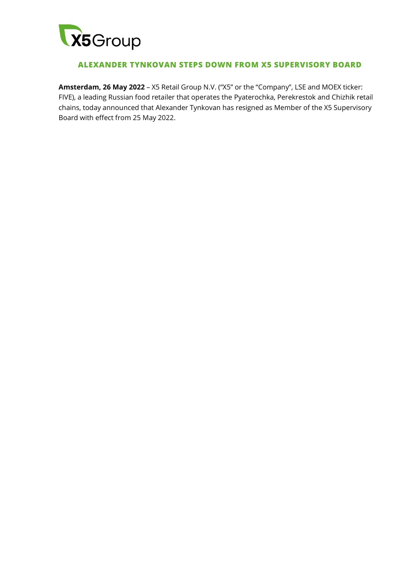

## **ALEXANDER TYNKOVAN STEPS DOWN FROM X5 SUPERVISORY BOARD**

**Amsterdam, 26 May 2022** – X5 Retail Group N.V. ("X5" or the "Company", LSE and MOEX ticker: FIVE), a leading Russian food retailer that operates the Pyaterochka, Perekrestok and Chizhik retail chains, today announced that Alexander Tynkovan has resigned as Member of the X5 Supervisory Board with effect from 25 May 2022.